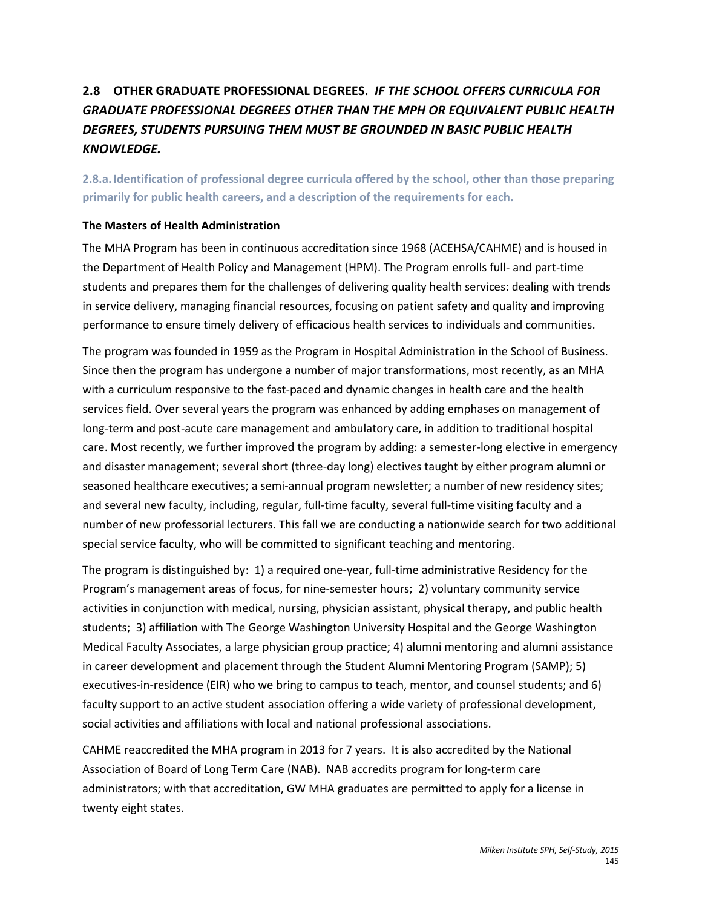# **2.8 OTHER GRADUATE PROFESSIONAL DEGREES.** *IF THE SCHOOL OFFERS CURRICULA FOR GRADUATE PROFESSIONAL DEGREES OTHER THAN THE MPH OR EQUIVALENT PUBLIC HEALTH DEGREES, STUDENTS PURSUING THEM MUST BE GROUNDED IN BASIC PUBLIC HEALTH KNOWLEDGE.*

**2.8.a. Identification of professional degree curricula offered by the school, other than those preparing primarily for public health careers, and a description of the requirements for each.**

### **The Masters of Health Administration**

The MHA Program has been in continuous accreditation since 1968 (ACEHSA/CAHME) and is housed in the Department of Health Policy and Management (HPM). The Program enrolls full- and part-time students and prepares them for the challenges of delivering quality health services: dealing with trends in service delivery, managing financial resources, focusing on patient safety and quality and improving performance to ensure timely delivery of efficacious health services to individuals and communities.

The program was founded in 1959 as the Program in Hospital Administration in the School of Business. Since then the program has undergone a number of major transformations, most recently, as an MHA with a curriculum responsive to the fast-paced and dynamic changes in health care and the health services field. Over several years the program was enhanced by adding emphases on management of long-term and post-acute care management and ambulatory care, in addition to traditional hospital care. Most recently, we further improved the program by adding: a semester-long elective in emergency and disaster management; several short (three-day long) electives taught by either program alumni or seasoned healthcare executives; a semi-annual program newsletter; a number of new residency sites; and several new faculty, including, regular, full-time faculty, several full-time visiting faculty and a number of new professorial lecturers. This fall we are conducting a nationwide search for two additional special service faculty, who will be committed to significant teaching and mentoring.

The program is distinguished by: 1) a required one-year, full-time administrative Residency for the Program's management areas of focus, for nine-semester hours; 2) voluntary community service activities in conjunction with medical, nursing, physician assistant, physical therapy, and public health students; 3) affiliation with The George Washington University Hospital and the George Washington Medical Faculty Associates, a large physician group practice; 4) alumni mentoring and alumni assistance in career development and placement through the Student Alumni Mentoring Program (SAMP); 5) executives-in-residence (EIR) who we bring to campus to teach, mentor, and counsel students; and 6) faculty support to an active student association offering a wide variety of professional development, social activities and affiliations with local and national professional associations.

CAHME reaccredited the MHA program in 2013 for 7 years. It is also accredited by the National Association of Board of Long Term Care (NAB). NAB accredits program for long-term care administrators; with that accreditation, GW MHA graduates are permitted to apply for a license in twenty eight states.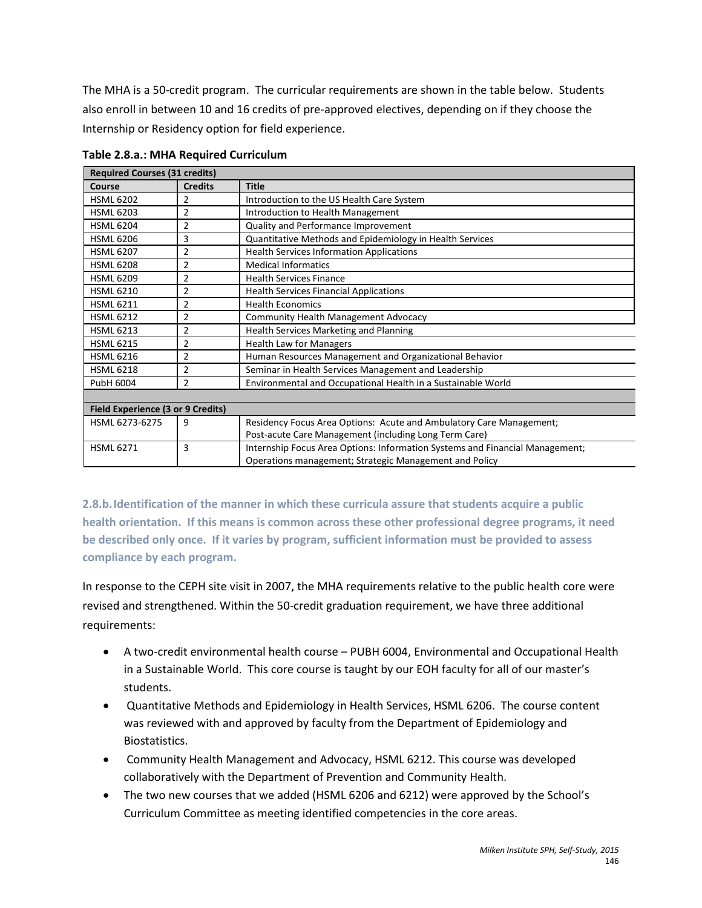The MHA is a 50-credit program. The curricular requirements are shown in the table below. Students also enroll in between 10 and 16 credits of pre-approved electives, depending on if they choose the Internship or Residency option for field experience.

| <b>Required Courses (31 credits)</b>     |                |                                                                              |
|------------------------------------------|----------------|------------------------------------------------------------------------------|
| Course                                   | <b>Credits</b> | <b>Title</b>                                                                 |
| <b>HSML 6202</b>                         | 2              | Introduction to the US Health Care System                                    |
| <b>HSML 6203</b>                         | 2              | Introduction to Health Management                                            |
| <b>HSML 6204</b>                         | $\overline{2}$ | Quality and Performance Improvement                                          |
| <b>HSML 6206</b>                         | 3              | Quantitative Methods and Epidemiology in Health Services                     |
| <b>HSML 6207</b>                         | $\overline{2}$ | <b>Health Services Information Applications</b>                              |
| <b>HSML 6208</b>                         | $\overline{2}$ | <b>Medical Informatics</b>                                                   |
| <b>HSML 6209</b>                         | $\overline{2}$ | <b>Health Services Finance</b>                                               |
| <b>HSML 6210</b>                         | $\overline{2}$ | <b>Health Services Financial Applications</b>                                |
| <b>HSML 6211</b>                         | $\overline{2}$ | <b>Health Economics</b>                                                      |
| <b>HSML 6212</b>                         | $\overline{2}$ | <b>Community Health Management Advocacy</b>                                  |
| <b>HSML 6213</b>                         | $\overline{2}$ | <b>Health Services Marketing and Planning</b>                                |
| <b>HSML 6215</b>                         | $\overline{2}$ | <b>Health Law for Managers</b>                                               |
| <b>HSML 6216</b>                         | $\overline{2}$ | Human Resources Management and Organizational Behavior                       |
| <b>HSML 6218</b>                         | $\overline{2}$ | Seminar in Health Services Management and Leadership                         |
| PubH 6004                                | $\overline{2}$ | Environmental and Occupational Health in a Sustainable World                 |
|                                          |                |                                                                              |
| <b>Field Experience (3 or 9 Credits)</b> |                |                                                                              |
| HSML 6273-6275                           | 9              | Residency Focus Area Options: Acute and Ambulatory Care Management;          |
|                                          |                | Post-acute Care Management (including Long Term Care)                        |
| <b>HSML 6271</b>                         | 3              | Internship Focus Area Options: Information Systems and Financial Management; |
|                                          |                | Operations management; Strategic Management and Policy                       |

**Table 2.8.a.: MHA Required Curriculum**

**2.8.b.Identification of the manner in which these curricula assure that students acquire a public health orientation. If this means is common across these other professional degree programs, it need be described only once. If it varies by program, sufficient information must be provided to assess compliance by each program.**

In response to the CEPH site visit in 2007, the MHA requirements relative to the public health core were revised and strengthened. Within the 50-credit graduation requirement, we have three additional requirements:

- A two-credit environmental health course PUBH 6004, Environmental and Occupational Health in a Sustainable World. This core course is taught by our EOH faculty for all of our master's students.
- Quantitative Methods and Epidemiology in Health Services, HSML 6206. The course content was reviewed with and approved by faculty from the Department of Epidemiology and Biostatistics.
- Community Health Management and Advocacy, HSML 6212. This course was developed collaboratively with the Department of Prevention and Community Health.
- The two new courses that we added (HSML 6206 and 6212) were approved by the School's Curriculum Committee as meeting identified competencies in the core areas.